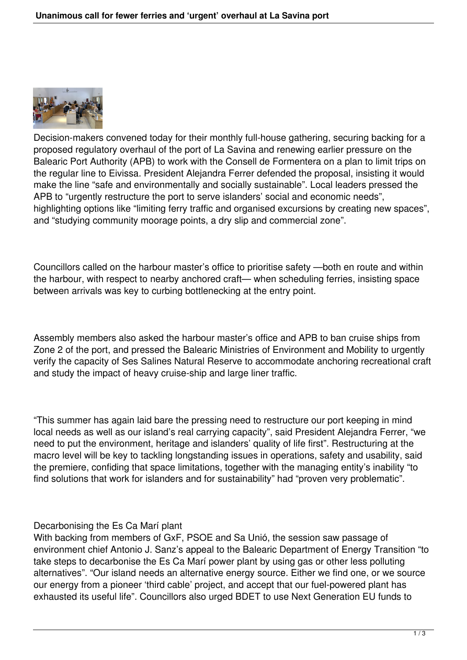

Decision-makers convened today for their monthly full-house gathering, securing backing for a proposed regulatory overhaul of the port of La Savina and renewing earlier pressure on the Balearic Port Authority (APB) to work with the Consell de Formentera on a plan to limit trips on the regular line to Eivissa. President Alejandra Ferrer defended the proposal, insisting it would make the line "safe and environmentally and socially sustainable". Local leaders pressed the APB to "urgently restructure the port to serve islanders' social and economic needs", highlighting options like "limiting ferry traffic and organised excursions by creating new spaces", and "studying community moorage points, a dry slip and commercial zone".

Councillors called on the harbour master's office to prioritise safety —both en route and within the harbour, with respect to nearby anchored craft— when scheduling ferries, insisting space between arrivals was key to curbing bottlenecking at the entry point.

Assembly members also asked the harbour master's office and APB to ban cruise ships from Zone 2 of the port, and pressed the Balearic Ministries of Environment and Mobility to urgently verify the capacity of Ses Salines Natural Reserve to accommodate anchoring recreational craft and study the impact of heavy cruise-ship and large liner traffic.

"This summer has again laid bare the pressing need to restructure our port keeping in mind local needs as well as our island's real carrying capacity", said President Alejandra Ferrer, "we need to put the environment, heritage and islanders' quality of life first". Restructuring at the macro level will be key to tackling longstanding issues in operations, safety and usability, said the premiere, confiding that space limitations, together with the managing entity's inability "to find solutions that work for islanders and for sustainability" had "proven very problematic".

#### Decarbonising the Es Ca Marí plant

With backing from members of GxF, PSOE and Sa Unió, the session saw passage of environment chief Antonio J. Sanz's appeal to the Balearic Department of Energy Transition "to take steps to decarbonise the Es Ca Marí power plant by using gas or other less polluting alternatives". "Our island needs an alternative energy source. Either we find one, or we source our energy from a pioneer 'third cable' project, and accept that our fuel-powered plant has exhausted its useful life". Councillors also urged BDET to use Next Generation EU funds to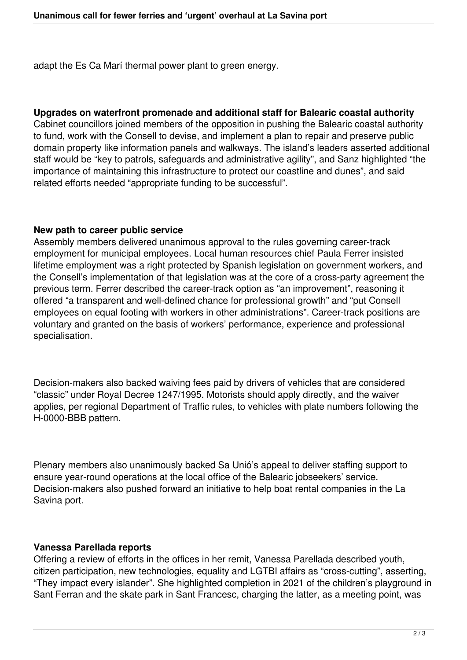adapt the Es Ca Marí thermal power plant to green energy.

#### **Upgrades on waterfront promenade and additional staff for Balearic coastal authority**

Cabinet councillors joined members of the opposition in pushing the Balearic coastal authority to fund, work with the Consell to devise, and implement a plan to repair and preserve public domain property like information panels and walkways. The island's leaders asserted additional staff would be "key to patrols, safeguards and administrative agility", and Sanz highlighted "the importance of maintaining this infrastructure to protect our coastline and dunes", and said related efforts needed "appropriate funding to be successful".

## **New path to career public service**

Assembly members delivered unanimous approval to the rules governing career-track employment for municipal employees. Local human resources chief Paula Ferrer insisted lifetime employment was a right protected by Spanish legislation on government workers, and the Consell's implementation of that legislation was at the core of a cross-party agreement the previous term. Ferrer described the career-track option as "an improvement", reasoning it offered "a transparent and well-defined chance for professional growth" and "put Consell employees on equal footing with workers in other administrations". Career-track positions are voluntary and granted on the basis of workers' performance, experience and professional specialisation.

Decision-makers also backed waiving fees paid by drivers of vehicles that are considered "classic" under Royal Decree 1247/1995. Motorists should apply directly, and the waiver applies, per regional Department of Traffic rules, to vehicles with plate numbers following the H-0000-BBB pattern.

Plenary members also unanimously backed Sa Unió's appeal to deliver staffing support to ensure year-round operations at the local office of the Balearic jobseekers' service. Decision-makers also pushed forward an initiative to help boat rental companies in the La Savina port.

# **Vanessa Parellada reports**

Offering a review of efforts in the offices in her remit, Vanessa Parellada described youth, citizen participation, new technologies, equality and LGTBI affairs as "cross-cutting", asserting, "They impact every islander". She highlighted completion in 2021 of the children's playground in Sant Ferran and the skate park in Sant Francesc, charging the latter, as a meeting point, was